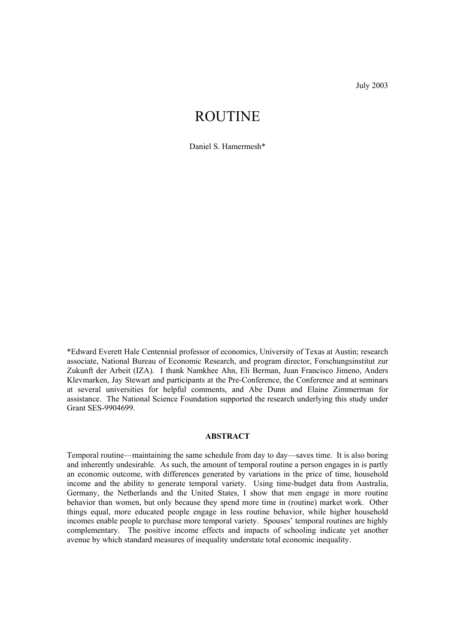# ROUTINE

Daniel S. Hamermesh\*

\*Edward Everett Hale Centennial professor of economics, University of Texas at Austin; research associate, National Bureau of Economic Research, and program director, Forschungsinstitut zur Zukunft der Arbeit (IZA). I thank Namkhee Ahn, Eli Berman, Juan Francisco Jimeno, Anders Klevmarken, Jay Stewart and participants at the Pre-Conference, the Conference and at seminars at several universities for helpful comments, and Abe Dunn and Elaine Zimmerman for assistance. The National Science Foundation supported the research underlying this study under Grant SES-9904699.

#### **ABSTRACT**

Temporal routine—maintaining the same schedule from day to day—saves time. It is also boring and inherently undesirable. As such, the amount of temporal routine a person engages in is partly an economic outcome, with differences generated by variations in the price of time, household income and the ability to generate temporal variety. Using time-budget data from Australia, Germany, the Netherlands and the United States, I show that men engage in more routine behavior than women, but only because they spend more time in (routine) market work. Other things equal, more educated people engage in less routine behavior, while higher household incomes enable people to purchase more temporal variety. Spouses' temporal routines are highly complementary. The positive income effects and impacts of schooling indicate yet another avenue by which standard measures of inequality understate total economic inequality.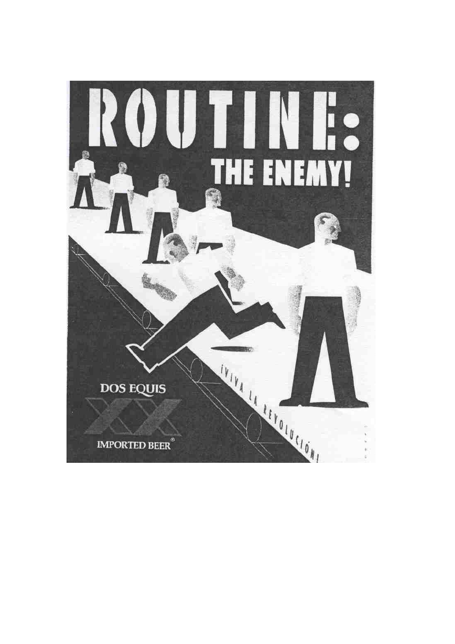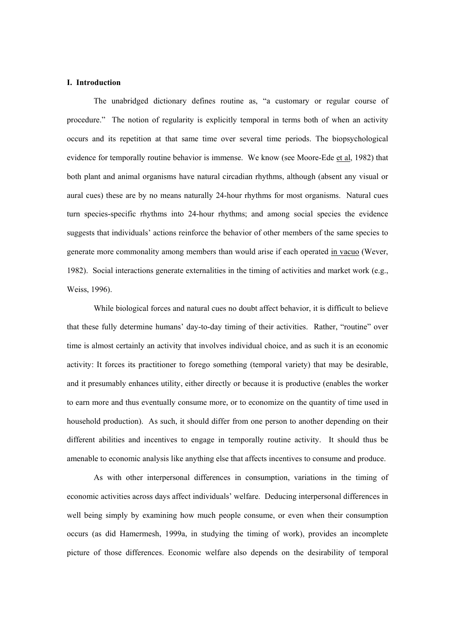#### **I. Introduction**

The unabridged dictionary defines routine as, "a customary or regular course of procedure." The notion of regularity is explicitly temporal in terms both of when an activity occurs and its repetition at that same time over several time periods. The biopsychological evidence for temporally routine behavior is immense. We know (see Moore-Ede et al, 1982) that both plant and animal organisms have natural circadian rhythms, although (absent any visual or aural cues) these are by no means naturally 24-hour rhythms for most organisms. Natural cues turn species-specific rhythms into 24-hour rhythms; and among social species the evidence suggests that individuals' actions reinforce the behavior of other members of the same species to generate more commonality among members than would arise if each operated in vacuo (Wever, 1982). Social interactions generate externalities in the timing of activities and market work (e.g., Weiss, 1996).

While biological forces and natural cues no doubt affect behavior, it is difficult to believe that these fully determine humans' day-to-day timing of their activities. Rather, "routine" over time is almost certainly an activity that involves individual choice, and as such it is an economic activity: It forces its practitioner to forego something (temporal variety) that may be desirable, and it presumably enhances utility, either directly or because it is productive (enables the worker to earn more and thus eventually consume more, or to economize on the quantity of time used in household production). As such, it should differ from one person to another depending on their different abilities and incentives to engage in temporally routine activity. It should thus be amenable to economic analysis like anything else that affects incentives to consume and produce.

As with other interpersonal differences in consumption, variations in the timing of economic activities across days affect individuals' welfare. Deducing interpersonal differences in well being simply by examining how much people consume, or even when their consumption occurs (as did Hamermesh, 1999a, in studying the timing of work), provides an incomplete picture of those differences. Economic welfare also depends on the desirability of temporal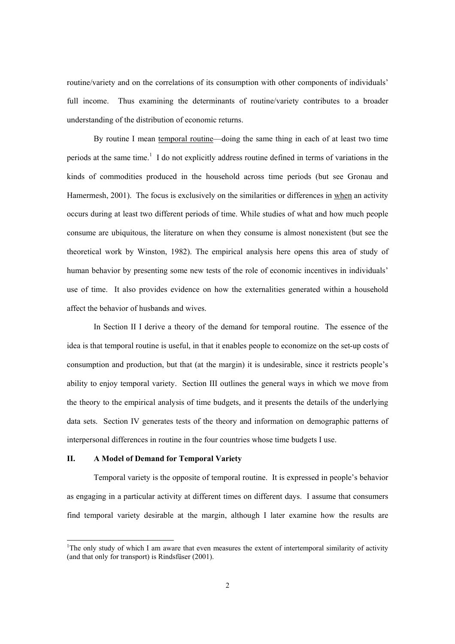routine/variety and on the correlations of its consumption with other components of individuals' full income. Thus examining the determinants of routine/variety contributes to a broader understanding of the distribution of economic returns.

By routine I mean temporal routine—doing the same thing in each of at least two time periods at the same time.<sup>1</sup> I do not explicitly address routine defined in terms of variations in the kinds of commodities produced in the household across time periods (but see Gronau and Hamermesh, 2001). The focus is exclusively on the similarities or differences in when an activity occurs during at least two different periods of time. While studies of what and how much people consume are ubiquitous, the literature on when they consume is almost nonexistent (but see the theoretical work by Winston, 1982). The empirical analysis here opens this area of study of human behavior by presenting some new tests of the role of economic incentives in individuals' use of time. It also provides evidence on how the externalities generated within a household affect the behavior of husbands and wives.

In Section II I derive a theory of the demand for temporal routine. The essence of the idea is that temporal routine is useful, in that it enables people to economize on the set-up costs of consumption and production, but that (at the margin) it is undesirable, since it restricts people's ability to enjoy temporal variety. Section III outlines the general ways in which we move from the theory to the empirical analysis of time budgets, and it presents the details of the underlying data sets. Section IV generates tests of the theory and information on demographic patterns of interpersonal differences in routine in the four countries whose time budgets I use.

### **II. A Model of Demand for Temporal Variety**

 $\overline{a}$ 

Temporal variety is the opposite of temporal routine. It is expressed in people's behavior as engaging in a particular activity at different times on different days. I assume that consumers find temporal variety desirable at the margin, although I later examine how the results are

<sup>&</sup>lt;sup>1</sup>The only study of which I am aware that even measures the extent of intertemporal similarity of activity (and that only for transport) is Rindsfüser (2001).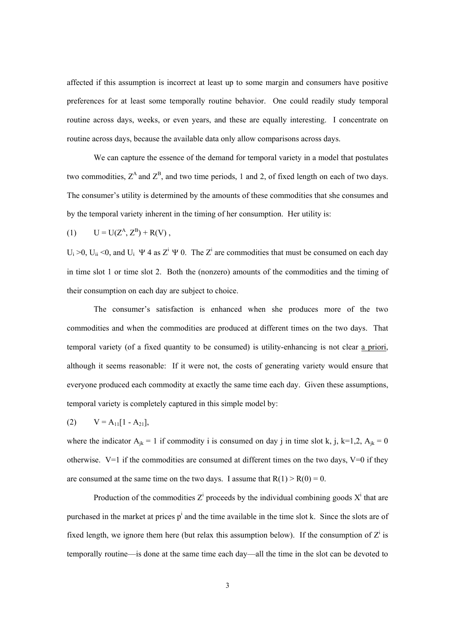affected if this assumption is incorrect at least up to some margin and consumers have positive preferences for at least some temporally routine behavior. One could readily study temporal routine across days, weeks, or even years, and these are equally interesting. I concentrate on routine across days, because the available data only allow comparisons across days.

We can capture the essence of the demand for temporal variety in a model that postulates two commodities,  $Z^A$  and  $Z^B$ , and two time periods, 1 and 2, of fixed length on each of two days. The consumer's utility is determined by the amounts of these commodities that she consumes and by the temporal variety inherent in the timing of her consumption. Her utility is:

(1) 
$$
U = U(Z^A, Z^B) + R(V)
$$
,

 $U_i > 0$ ,  $U_{ii} < 0$ , and  $U_i \Psi 4$  as  $Z^i \Psi 0$ . The  $Z^i$  are commodities that must be consumed on each day in time slot 1 or time slot 2. Both the (nonzero) amounts of the commodities and the timing of their consumption on each day are subject to choice.

The consumer's satisfaction is enhanced when she produces more of the two commodities and when the commodities are produced at different times on the two days. That temporal variety (of a fixed quantity to be consumed) is utility-enhancing is not clear a priori, although it seems reasonable: If it were not, the costs of generating variety would ensure that everyone produced each commodity at exactly the same time each day. Given these assumptions, temporal variety is completely captured in this simple model by:

$$
(2) \tV = A_{11}[1 - A_{21}],
$$

where the indicator  $A_{ik} = 1$  if commodity i is consumed on day j in time slot k, j, k=1,2,  $A_{ik} = 0$ otherwise. V=1 if the commodities are consumed at different times on the two days, V=0 if they are consumed at the same time on the two days. I assume that  $R(1) > R(0) = 0$ .

Production of the commodities  $Z^i$  proceeds by the individual combining goods  $X^i$  that are purchased in the market at prices  $p<sup>i</sup>$  and the time available in the time slot k. Since the slots are of fixed length, we ignore them here (but relax this assumption below). If the consumption of  $Z^i$  is temporally routine—is done at the same time each day—all the time in the slot can be devoted to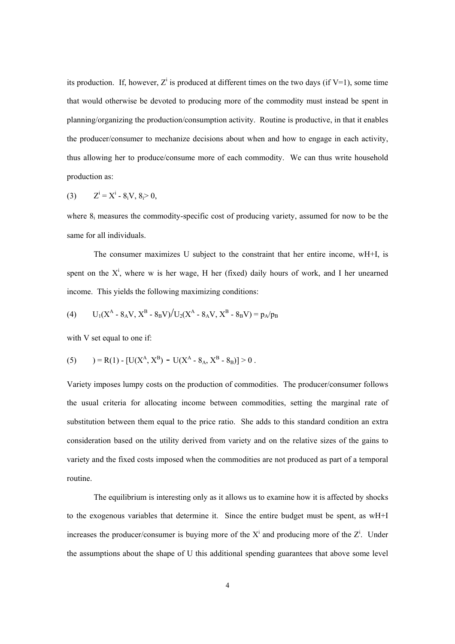its production. If, however,  $Z^i$  is produced at different times on the two days (if V=1), some time that would otherwise be devoted to producing more of the commodity must instead be spent in planning/organizing the production/consumption activity. Routine is productive, in that it enables the producer/consumer to mechanize decisions about when and how to engage in each activity, thus allowing her to produce/consume more of each commodity. We can thus write household production as:

(3) 
$$
Z^i = X^i - 8_i V, 8_i > 0,
$$

where  $\mathcal{S}_i$  measures the commodity-specific cost of producing variety, assumed for now to be the same for all individuals.

 The consumer maximizes U subject to the constraint that her entire income, wH+I, is spent on the  $X^i$ , where w is her wage, H her (fixed) daily hours of work, and I her unearned income. This yields the following maximizing conditions:

(4) 
$$
U_1(X^A - 8_A V, X^B - 8_B V) / U_2(X^A - 8_A V, X^B - 8_B V) = p_A / p_B
$$

with V set equal to one if:

(5) 
$$
)= R(1) - [U(X^A, X^B) - U(X^A - 8_A, X^B - 8_B)] > 0.
$$

Variety imposes lumpy costs on the production of commodities. The producer/consumer follows the usual criteria for allocating income between commodities, setting the marginal rate of substitution between them equal to the price ratio. She adds to this standard condition an extra consideration based on the utility derived from variety and on the relative sizes of the gains to variety and the fixed costs imposed when the commodities are not produced as part of a temporal routine.

The equilibrium is interesting only as it allows us to examine how it is affected by shocks to the exogenous variables that determine it. Since the entire budget must be spent, as wH+I increases the producer/consumer is buying more of the  $X^i$  and producing more of the  $Z^i$ . Under the assumptions about the shape of U this additional spending guarantees that above some level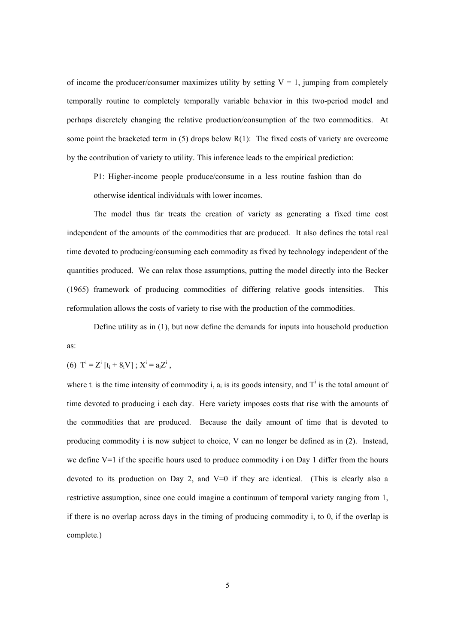of income the producer/consumer maximizes utility by setting  $V = 1$ , jumping from completely temporally routine to completely temporally variable behavior in this two-period model and perhaps discretely changing the relative production/consumption of the two commodities. At some point the bracketed term in (5) drops below R(1): The fixed costs of variety are overcome by the contribution of variety to utility. This inference leads to the empirical prediction:

P1: Higher-income people produce/consume in a less routine fashion than do otherwise identical individuals with lower incomes.

 The model thus far treats the creation of variety as generating a fixed time cost independent of the amounts of the commodities that are produced. It also defines the total real time devoted to producing/consuming each commodity as fixed by technology independent of the quantities produced. We can relax those assumptions, putting the model directly into the Becker (1965) framework of producing commodities of differing relative goods intensities. This reformulation allows the costs of variety to rise with the production of the commodities.

Define utility as in (1), but now define the demands for inputs into household production as:

(6) 
$$
T^i = Z^i [t_i + 8_i V] ; X^i = a_i Z^i
$$
,

where  $t_i$  is the time intensity of commodity i,  $a_i$  is its goods intensity, and  $T^i$  is the total amount of time devoted to producing i each day. Here variety imposes costs that rise with the amounts of the commodities that are produced. Because the daily amount of time that is devoted to producing commodity i is now subject to choice, V can no longer be defined as in (2). Instead, we define V=1 if the specific hours used to produce commodity i on Day 1 differ from the hours devoted to its production on Day 2, and  $V=0$  if they are identical. (This is clearly also a restrictive assumption, since one could imagine a continuum of temporal variety ranging from 1, if there is no overlap across days in the timing of producing commodity i, to 0, if the overlap is complete.)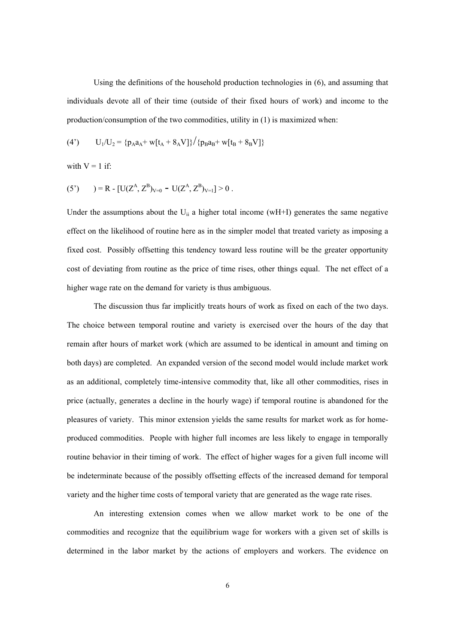Using the definitions of the household production technologies in (6), and assuming that individuals devote all of their time (outside of their fixed hours of work) and income to the production/consumption of the two commodities, utility in (1) is maximized when:

(4') 
$$
U_1/U_2 = {p_A a_A + w[t_A + 8_A V]} / {p_B a_B + w[t_B + 8_B V]}
$$

with  $V = 1$  if:

(5') 
$$
= R - [U(Z^A, Z^B)_{V=0} - U(Z^A, Z^B)_{V=1}] > 0.
$$

Under the assumptions about the  $U_{ii}$  a higher total income (wH+I) generates the same negative effect on the likelihood of routine here as in the simpler model that treated variety as imposing a fixed cost. Possibly offsetting this tendency toward less routine will be the greater opportunity cost of deviating from routine as the price of time rises, other things equal. The net effect of a higher wage rate on the demand for variety is thus ambiguous.

 The discussion thus far implicitly treats hours of work as fixed on each of the two days. The choice between temporal routine and variety is exercised over the hours of the day that remain after hours of market work (which are assumed to be identical in amount and timing on both days) are completed. An expanded version of the second model would include market work as an additional, completely time-intensive commodity that, like all other commodities, rises in price (actually, generates a decline in the hourly wage) if temporal routine is abandoned for the pleasures of variety. This minor extension yields the same results for market work as for homeproduced commodities. People with higher full incomes are less likely to engage in temporally routine behavior in their timing of work. The effect of higher wages for a given full income will be indeterminate because of the possibly offsetting effects of the increased demand for temporal variety and the higher time costs of temporal variety that are generated as the wage rate rises.

An interesting extension comes when we allow market work to be one of the commodities and recognize that the equilibrium wage for workers with a given set of skills is determined in the labor market by the actions of employers and workers. The evidence on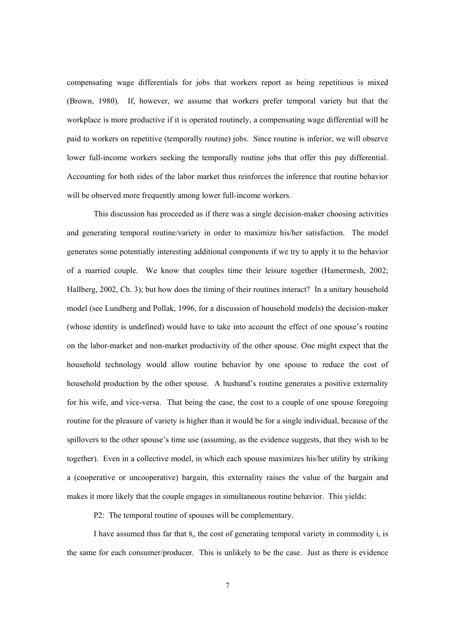compensating wage differentials for jobs that workers report as being repetitious is mixed (Brown, 1980). If, however, we assume that workers prefer temporal variety but that the workplace is more productive if it is operated routinely, a compensating wage differential will be paid to workers on repetitive (temporally routine) jobs. Since routine is inferior, we will observe lower full-income workers seeking the temporally routine jobs that offer this pay differential. Accounting for both sides of the labor market thus reinforces the inference that routine behavior will be observed more frequently among lower full-income workers.

This discussion has proceeded as if there was a single decision-maker choosing activities and generating temporal routine/variety in order to maximize his/her satisfaction. The model generates some potentially interesting additional components if we try to apply it to the behavior of a married couple. We know that couples time their leisure together (Hamermesh, 2002; Hallberg, 2002, Ch. 3); but how does the timing of their routines interact? In a unitary household model (see Lundberg and Pollak, 1996, for a discussion of household models) the decision-maker (whose identity is undefined) would have to take into account the effect of one spouse's routine on the labor-market and non-market productivity of the other spouse. One might expect that the household technology would allow routine behavior by one spouse to reduce the cost of household production by the other spouse. A husband's routine generates a positive externality for his wife, and vice-versa. That being the case, the cost to a couple of one spouse foregoing routine for the pleasure of variety is higher than it would be for a single individual, because of the spillovers to the other spouse's time use (assuming, as the evidence suggests, that they wish to be together). Even in a collective model, in which each spouse maximizes his/her utility by striking a (cooperative or uncooperative) bargain, this externality raises the value of the bargain and makes it more likely that the couple engages in simultaneous routine behavior. This yields:

P2: The temporal routine of spouses will be complementary.

I have assumed thus far that  $8<sub>i</sub>$ , the cost of generating temporal variety in commodity i, is the same for each consumer/producer. This is unlikely to be the case. Just as there is evidence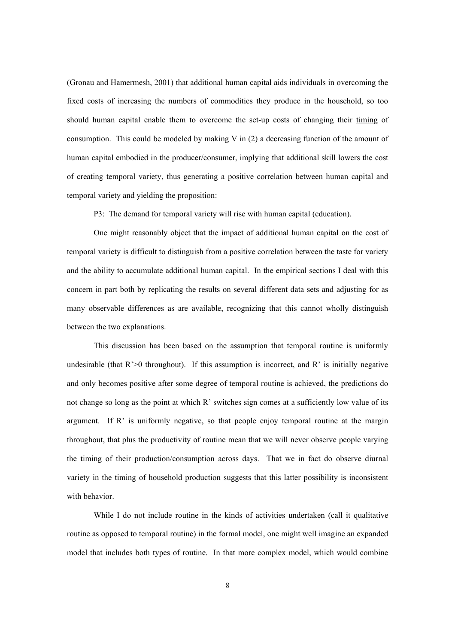(Gronau and Hamermesh, 2001) that additional human capital aids individuals in overcoming the fixed costs of increasing the numbers of commodities they produce in the household, so too should human capital enable them to overcome the set-up costs of changing their timing of consumption. This could be modeled by making V in (2) a decreasing function of the amount of human capital embodied in the producer/consumer, implying that additional skill lowers the cost of creating temporal variety, thus generating a positive correlation between human capital and temporal variety and yielding the proposition:

P3: The demand for temporal variety will rise with human capital (education).

One might reasonably object that the impact of additional human capital on the cost of temporal variety is difficult to distinguish from a positive correlation between the taste for variety and the ability to accumulate additional human capital. In the empirical sections I deal with this concern in part both by replicating the results on several different data sets and adjusting for as many observable differences as are available, recognizing that this cannot wholly distinguish between the two explanations.

 This discussion has been based on the assumption that temporal routine is uniformly undesirable (that  $R \geq 0$  throughout). If this assumption is incorrect, and R' is initially negative and only becomes positive after some degree of temporal routine is achieved, the predictions do not change so long as the point at which R' switches sign comes at a sufficiently low value of its argument. If R' is uniformly negative, so that people enjoy temporal routine at the margin throughout, that plus the productivity of routine mean that we will never observe people varying the timing of their production/consumption across days. That we in fact do observe diurnal variety in the timing of household production suggests that this latter possibility is inconsistent with behavior.

While I do not include routine in the kinds of activities undertaken (call it qualitative routine as opposed to temporal routine) in the formal model, one might well imagine an expanded model that includes both types of routine. In that more complex model, which would combine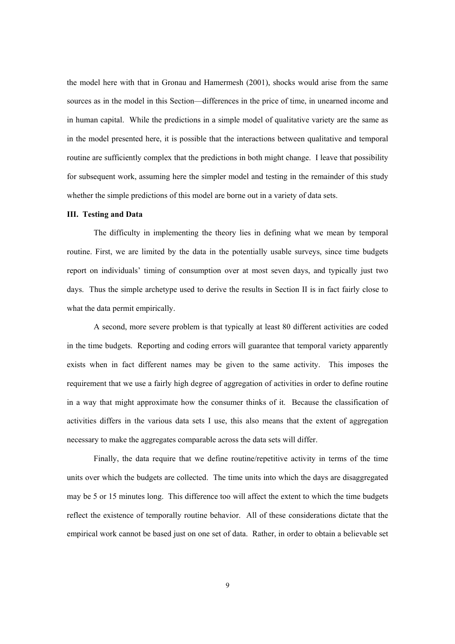the model here with that in Gronau and Hamermesh (2001), shocks would arise from the same sources as in the model in this Section—differences in the price of time, in unearned income and in human capital. While the predictions in a simple model of qualitative variety are the same as in the model presented here, it is possible that the interactions between qualitative and temporal routine are sufficiently complex that the predictions in both might change. I leave that possibility for subsequent work, assuming here the simpler model and testing in the remainder of this study whether the simple predictions of this model are borne out in a variety of data sets.

#### **III. Testing and Data**

The difficulty in implementing the theory lies in defining what we mean by temporal routine. First, we are limited by the data in the potentially usable surveys, since time budgets report on individuals' timing of consumption over at most seven days, and typically just two days. Thus the simple archetype used to derive the results in Section II is in fact fairly close to what the data permit empirically.

A second, more severe problem is that typically at least 80 different activities are coded in the time budgets. Reporting and coding errors will guarantee that temporal variety apparently exists when in fact different names may be given to the same activity. This imposes the requirement that we use a fairly high degree of aggregation of activities in order to define routine in a way that might approximate how the consumer thinks of it. Because the classification of activities differs in the various data sets I use, this also means that the extent of aggregation necessary to make the aggregates comparable across the data sets will differ.

Finally, the data require that we define routine/repetitive activity in terms of the time units over which the budgets are collected. The time units into which the days are disaggregated may be 5 or 15 minutes long. This difference too will affect the extent to which the time budgets reflect the existence of temporally routine behavior. All of these considerations dictate that the empirical work cannot be based just on one set of data. Rather, in order to obtain a believable set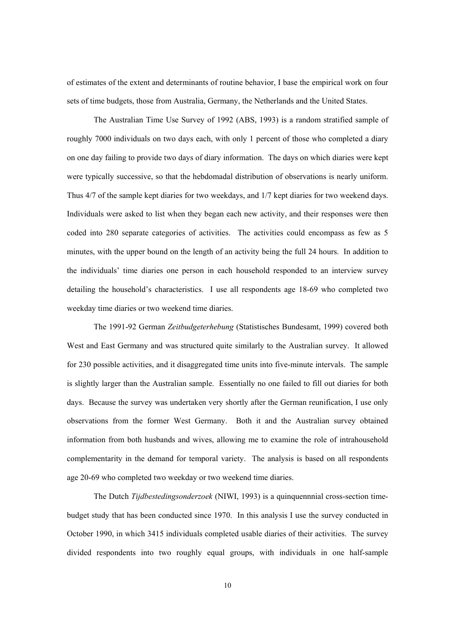of estimates of the extent and determinants of routine behavior, I base the empirical work on four sets of time budgets, those from Australia, Germany, the Netherlands and the United States.

 The Australian Time Use Survey of 1992 (ABS, 1993) is a random stratified sample of roughly 7000 individuals on two days each, with only 1 percent of those who completed a diary on one day failing to provide two days of diary information. The days on which diaries were kept were typically successive, so that the hebdomadal distribution of observations is nearly uniform. Thus 4/7 of the sample kept diaries for two weekdays, and 1/7 kept diaries for two weekend days. Individuals were asked to list when they began each new activity, and their responses were then coded into 280 separate categories of activities. The activities could encompass as few as 5 minutes, with the upper bound on the length of an activity being the full 24 hours. In addition to the individuals' time diaries one person in each household responded to an interview survey detailing the household's characteristics. I use all respondents age 18-69 who completed two weekday time diaries or two weekend time diaries.

 The 1991-92 German *Zeitbudgeterhebung* (Statistisches Bundesamt, 1999) covered both West and East Germany and was structured quite similarly to the Australian survey. It allowed for 230 possible activities, and it disaggregated time units into five-minute intervals. The sample is slightly larger than the Australian sample. Essentially no one failed to fill out diaries for both days. Because the survey was undertaken very shortly after the German reunification, I use only observations from the former West Germany. Both it and the Australian survey obtained information from both husbands and wives, allowing me to examine the role of intrahousehold complementarity in the demand for temporal variety. The analysis is based on all respondents age 20-69 who completed two weekday or two weekend time diaries.

 The Dutch *Tijdbestedingsonderzoek* (NIWI, 1993) is a quinquennnial cross-section timebudget study that has been conducted since 1970. In this analysis I use the survey conducted in October 1990, in which 3415 individuals completed usable diaries of their activities. The survey divided respondents into two roughly equal groups, with individuals in one half-sample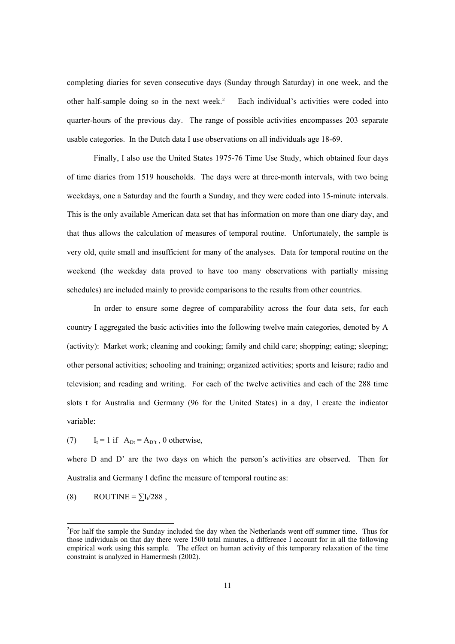completing diaries for seven consecutive days (Sunday through Saturday) in one week, and the other half-sample doing so in the next week.<sup>2</sup> Each individual's activities were coded into quarter-hours of the previous day. The range of possible activities encompasses 203 separate usable categories. In the Dutch data I use observations on all individuals age 18-69.

Finally, I also use the United States 1975-76 Time Use Study, which obtained four days of time diaries from 1519 households. The days were at three-month intervals, with two being weekdays, one a Saturday and the fourth a Sunday, and they were coded into 15-minute intervals. This is the only available American data set that has information on more than one diary day, and that thus allows the calculation of measures of temporal routine. Unfortunately, the sample is very old, quite small and insufficient for many of the analyses. Data for temporal routine on the weekend (the weekday data proved to have too many observations with partially missing schedules) are included mainly to provide comparisons to the results from other countries.

 In order to ensure some degree of comparability across the four data sets, for each country I aggregated the basic activities into the following twelve main categories, denoted by A (activity): Market work; cleaning and cooking; family and child care; shopping; eating; sleeping; other personal activities; schooling and training; organized activities; sports and leisure; radio and television; and reading and writing. For each of the twelve activities and each of the 288 time slots t for Australia and Germany (96 for the United States) in a day, I create the indicator variable:

(7)  $I_t = 1$  if  $A_{Dt} = A_{Dt}$ , 0 otherwise,

where D and D' are the two days on which the person's activities are observed. Then for Australia and Germany I define the measure of temporal routine as:

(8) ROUTINE =  $\Sigma I_t/288$ ,

 $\overline{a}$ 

<sup>&</sup>lt;sup>2</sup>For half the sample the Sunday included the day when the Netherlands went off summer time. Thus for those individuals on that day there were 1500 total minutes, a difference I account for in all the following empirical work using this sample. The effect on human activity of this temporary relaxation of the time constraint is analyzed in Hamermesh (2002).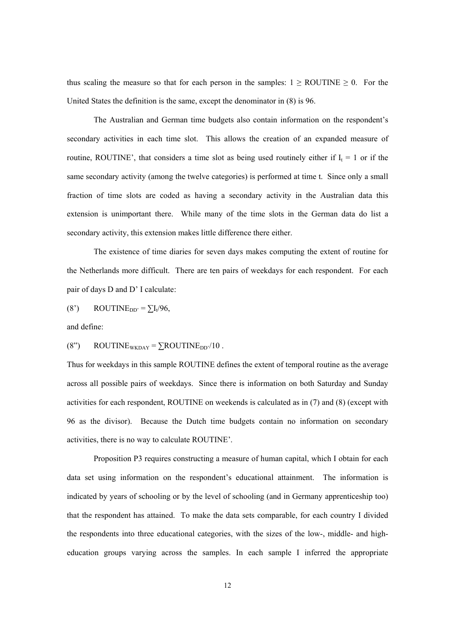thus scaling the measure so that for each person in the samples:  $1 \geq \text{ROUTINE} \geq 0$ . For the United States the definition is the same, except the denominator in (8) is 96.

The Australian and German time budgets also contain information on the respondent's secondary activities in each time slot. This allows the creation of an expanded measure of routine, ROUTINE', that considers a time slot as being used routinely either if  $I_t = 1$  or if the same secondary activity (among the twelve categories) is performed at time t. Since only a small fraction of time slots are coded as having a secondary activity in the Australian data this extension is unimportant there. While many of the time slots in the German data do list a secondary activity, this extension makes little difference there either.

 The existence of time diaries for seven days makes computing the extent of routine for the Netherlands more difficult. There are ten pairs of weekdays for each respondent. For each pair of days D and D' I calculate:

(8') ROUTINE<sub>DD'</sub> =  $\Sigma I_t/96$ ,

and define:

(8") ROUTINE<sub>WKDAY</sub> =  $\Sigma$ ROUTINE<sub>DD'</sub>/10.

Thus for weekdays in this sample ROUTINE defines the extent of temporal routine as the average across all possible pairs of weekdays. Since there is information on both Saturday and Sunday activities for each respondent, ROUTINE on weekends is calculated as in (7) and (8) (except with 96 as the divisor). Because the Dutch time budgets contain no information on secondary activities, there is no way to calculate ROUTINE'.

Proposition P3 requires constructing a measure of human capital, which I obtain for each data set using information on the respondent's educational attainment. The information is indicated by years of schooling or by the level of schooling (and in Germany apprenticeship too) that the respondent has attained. To make the data sets comparable, for each country I divided the respondents into three educational categories, with the sizes of the low-, middle- and higheducation groups varying across the samples. In each sample I inferred the appropriate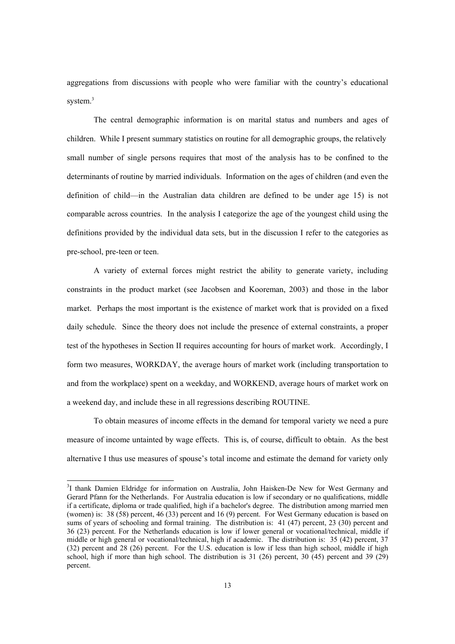aggregations from discussions with people who were familiar with the country's educational system.<sup>3</sup>

 The central demographic information is on marital status and numbers and ages of children. While I present summary statistics on routine for all demographic groups, the relatively small number of single persons requires that most of the analysis has to be confined to the determinants of routine by married individuals. Information on the ages of children (and even the definition of child—in the Australian data children are defined to be under age 15) is not comparable across countries. In the analysis I categorize the age of the youngest child using the definitions provided by the individual data sets, but in the discussion I refer to the categories as pre-school, pre-teen or teen.

 A variety of external forces might restrict the ability to generate variety, including constraints in the product market (see Jacobsen and Kooreman, 2003) and those in the labor market. Perhaps the most important is the existence of market work that is provided on a fixed daily schedule. Since the theory does not include the presence of external constraints, a proper test of the hypotheses in Section II requires accounting for hours of market work. Accordingly, I form two measures, WORKDAY, the average hours of market work (including transportation to and from the workplace) spent on a weekday, and WORKEND, average hours of market work on a weekend day, and include these in all regressions describing ROUTINE.

 To obtain measures of income effects in the demand for temporal variety we need a pure measure of income untainted by wage effects. This is, of course, difficult to obtain. As the best alternative I thus use measures of spouse's total income and estimate the demand for variety only

 $\overline{a}$ 

<sup>&</sup>lt;sup>3</sup>I thank Damien Eldridge for information on Australia, John Haisken-De New for West Germany and Gerard Pfann for the Netherlands. For Australia education is low if secondary or no qualifications, middle if a certificate, diploma or trade qualified, high if a bachelor's degree. The distribution among married men (women) is:38 (58) percent, 46 (33) percent and 16 (9) percent. For West Germany education is based on sums of years of schooling and formal training. The distribution is:41 (47) percent, 23 (30) percent and 36 (23) percent. For the Netherlands education is low if lower general or vocational/technical, middle if middle or high general or vocational/technical, high if academic. The distribution is:35 (42) percent, 37 (32) percent and 28 (26) percent. For the U.S. education is low if less than high school, middle if high school, high if more than high school. The distribution is 31 (26) percent, 30 (45) percent and 39 (29) percent.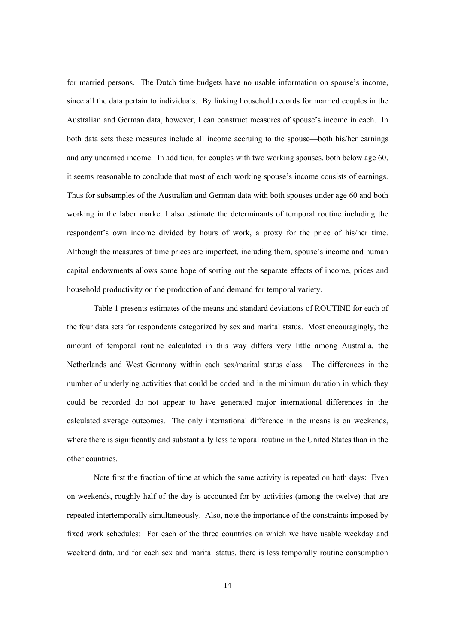for married persons. The Dutch time budgets have no usable information on spouse's income, since all the data pertain to individuals. By linking household records for married couples in the Australian and German data, however, I can construct measures of spouse's income in each. In both data sets these measures include all income accruing to the spouse—both his/her earnings and any unearned income. In addition, for couples with two working spouses, both below age 60, it seems reasonable to conclude that most of each working spouse's income consists of earnings. Thus for subsamples of the Australian and German data with both spouses under age 60 and both working in the labor market I also estimate the determinants of temporal routine including the respondent's own income divided by hours of work, a proxy for the price of his/her time. Although the measures of time prices are imperfect, including them, spouse's income and human capital endowments allows some hope of sorting out the separate effects of income, prices and household productivity on the production of and demand for temporal variety.

 Table 1 presents estimates of the means and standard deviations of ROUTINE for each of the four data sets for respondents categorized by sex and marital status. Most encouragingly, the amount of temporal routine calculated in this way differs very little among Australia, the Netherlands and West Germany within each sex/marital status class. The differences in the number of underlying activities that could be coded and in the minimum duration in which they could be recorded do not appear to have generated major international differences in the calculated average outcomes. The only international difference in the means is on weekends, where there is significantly and substantially less temporal routine in the United States than in the other countries.

Note first the fraction of time at which the same activity is repeated on both days: Even on weekends, roughly half of the day is accounted for by activities (among the twelve) that are repeated intertemporally simultaneously. Also, note the importance of the constraints imposed by fixed work schedules: For each of the three countries on which we have usable weekday and weekend data, and for each sex and marital status, there is less temporally routine consumption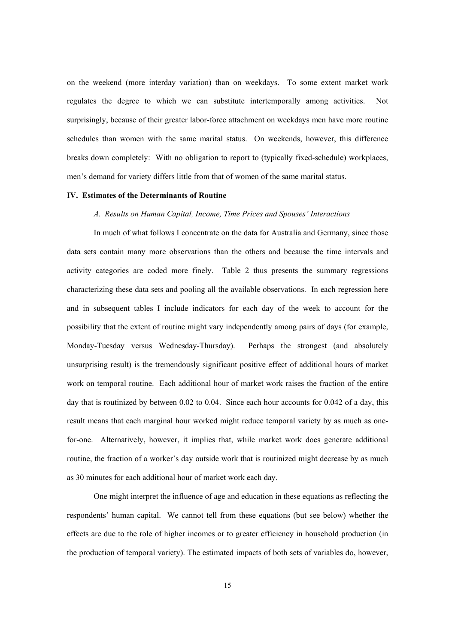on the weekend (more interday variation) than on weekdays. To some extent market work regulates the degree to which we can substitute intertemporally among activities. Not surprisingly, because of their greater labor-force attachment on weekdays men have more routine schedules than women with the same marital status. On weekends, however, this difference breaks down completely: With no obligation to report to (typically fixed-schedule) workplaces, men's demand for variety differs little from that of women of the same marital status.

#### **IV. Estimates of the Determinants of Routine**

#### *A. Results on Human Capital, Income, Time Prices and Spouses' Interactions*

In much of what follows I concentrate on the data for Australia and Germany, since those data sets contain many more observations than the others and because the time intervals and activity categories are coded more finely. Table 2 thus presents the summary regressions characterizing these data sets and pooling all the available observations. In each regression here and in subsequent tables I include indicators for each day of the week to account for the possibility that the extent of routine might vary independently among pairs of days (for example, Monday-Tuesday versus Wednesday-Thursday). Perhaps the strongest (and absolutely unsurprising result) is the tremendously significant positive effect of additional hours of market work on temporal routine. Each additional hour of market work raises the fraction of the entire day that is routinized by between 0.02 to 0.04. Since each hour accounts for 0.042 of a day, this result means that each marginal hour worked might reduce temporal variety by as much as onefor-one. Alternatively, however, it implies that, while market work does generate additional routine, the fraction of a worker's day outside work that is routinized might decrease by as much as 30 minutes for each additional hour of market work each day.

One might interpret the influence of age and education in these equations as reflecting the respondents' human capital. We cannot tell from these equations (but see below) whether the effects are due to the role of higher incomes or to greater efficiency in household production (in the production of temporal variety). The estimated impacts of both sets of variables do, however,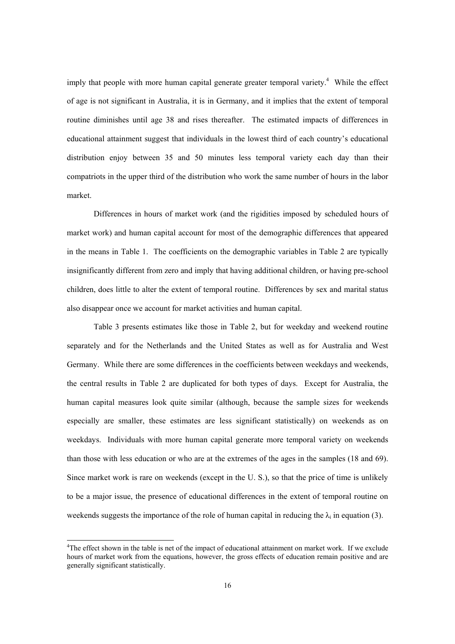imply that people with more human capital generate greater temporal variety.<sup>4</sup> While the effect of age is not significant in Australia, it is in Germany, and it implies that the extent of temporal routine diminishes until age 38 and rises thereafter. The estimated impacts of differences in educational attainment suggest that individuals in the lowest third of each country's educational distribution enjoy between 35 and 50 minutes less temporal variety each day than their compatriots in the upper third of the distribution who work the same number of hours in the labor market.

Differences in hours of market work (and the rigidities imposed by scheduled hours of market work) and human capital account for most of the demographic differences that appeared in the means in Table 1. The coefficients on the demographic variables in Table 2 are typically insignificantly different from zero and imply that having additional children, or having pre-school children, does little to alter the extent of temporal routine. Differences by sex and marital status also disappear once we account for market activities and human capital.

Table 3 presents estimates like those in Table 2, but for weekday and weekend routine separately and for the Netherlands and the United States as well as for Australia and West Germany. While there are some differences in the coefficients between weekdays and weekends, the central results in Table 2 are duplicated for both types of days. Except for Australia, the human capital measures look quite similar (although, because the sample sizes for weekends especially are smaller, these estimates are less significant statistically) on weekends as on weekdays. Individuals with more human capital generate more temporal variety on weekends than those with less education or who are at the extremes of the ages in the samples (18 and 69). Since market work is rare on weekends (except in the U. S.), so that the price of time is unlikely to be a major issue, the presence of educational differences in the extent of temporal routine on weekends suggests the importance of the role of human capital in reducing the  $\lambda_i$  in equation (3).

 $\overline{a}$ 

<sup>&</sup>lt;sup>4</sup>The effect shown in the table is net of the impact of educational attainment on market work. If we exclude hours of market work from the equations, however, the gross effects of education remain positive and are generally significant statistically.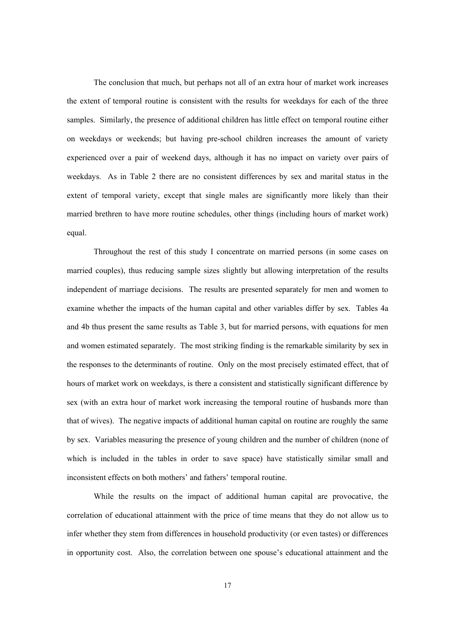The conclusion that much, but perhaps not all of an extra hour of market work increases the extent of temporal routine is consistent with the results for weekdays for each of the three samples. Similarly, the presence of additional children has little effect on temporal routine either on weekdays or weekends; but having pre-school children increases the amount of variety experienced over a pair of weekend days, although it has no impact on variety over pairs of weekdays. As in Table 2 there are no consistent differences by sex and marital status in the extent of temporal variety, except that single males are significantly more likely than their married brethren to have more routine schedules, other things (including hours of market work) equal.

Throughout the rest of this study I concentrate on married persons (in some cases on married couples), thus reducing sample sizes slightly but allowing interpretation of the results independent of marriage decisions. The results are presented separately for men and women to examine whether the impacts of the human capital and other variables differ by sex. Tables 4a and 4b thus present the same results as Table 3, but for married persons, with equations for men and women estimated separately. The most striking finding is the remarkable similarity by sex in the responses to the determinants of routine. Only on the most precisely estimated effect, that of hours of market work on weekdays, is there a consistent and statistically significant difference by sex (with an extra hour of market work increasing the temporal routine of husbands more than that of wives). The negative impacts of additional human capital on routine are roughly the same by sex. Variables measuring the presence of young children and the number of children (none of which is included in the tables in order to save space) have statistically similar small and inconsistent effects on both mothers' and fathers' temporal routine.

While the results on the impact of additional human capital are provocative, the correlation of educational attainment with the price of time means that they do not allow us to infer whether they stem from differences in household productivity (or even tastes) or differences in opportunity cost. Also, the correlation between one spouse's educational attainment and the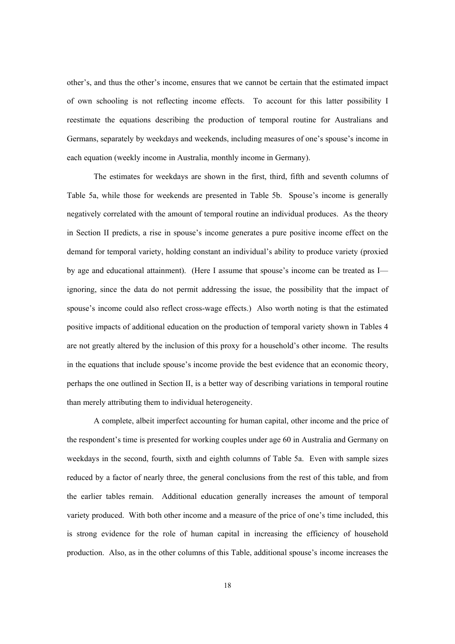other's, and thus the other's income, ensures that we cannot be certain that the estimated impact of own schooling is not reflecting income effects. To account for this latter possibility I reestimate the equations describing the production of temporal routine for Australians and Germans, separately by weekdays and weekends, including measures of one's spouse's income in each equation (weekly income in Australia, monthly income in Germany).

The estimates for weekdays are shown in the first, third, fifth and seventh columns of Table 5a, while those for weekends are presented in Table 5b. Spouse's income is generally negatively correlated with the amount of temporal routine an individual produces. As the theory in Section II predicts, a rise in spouse's income generates a pure positive income effect on the demand for temporal variety, holding constant an individual's ability to produce variety (proxied by age and educational attainment). (Here I assume that spouse's income can be treated as I ignoring, since the data do not permit addressing the issue, the possibility that the impact of spouse's income could also reflect cross-wage effects.) Also worth noting is that the estimated positive impacts of additional education on the production of temporal variety shown in Tables 4 are not greatly altered by the inclusion of this proxy for a household's other income. The results in the equations that include spouse's income provide the best evidence that an economic theory, perhaps the one outlined in Section II, is a better way of describing variations in temporal routine than merely attributing them to individual heterogeneity.

A complete, albeit imperfect accounting for human capital, other income and the price of the respondent's time is presented for working couples under age 60 in Australia and Germany on weekdays in the second, fourth, sixth and eighth columns of Table 5a. Even with sample sizes reduced by a factor of nearly three, the general conclusions from the rest of this table, and from the earlier tables remain. Additional education generally increases the amount of temporal variety produced. With both other income and a measure of the price of one's time included, this is strong evidence for the role of human capital in increasing the efficiency of household production. Also, as in the other columns of this Table, additional spouse's income increases the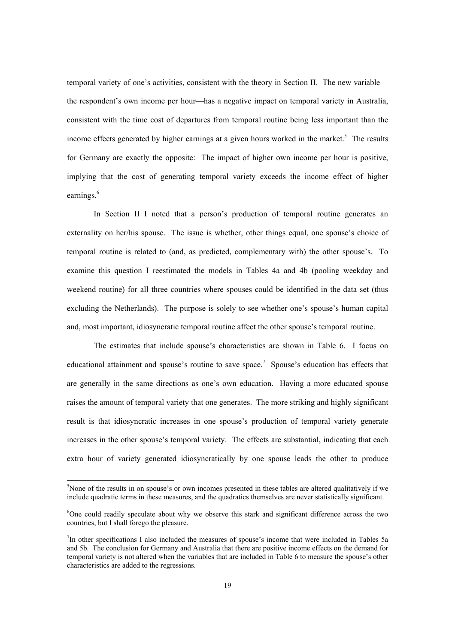temporal variety of one's activities, consistent with the theory in Section II. The new variable the respondent's own income per hour—has a negative impact on temporal variety in Australia, consistent with the time cost of departures from temporal routine being less important than the income effects generated by higher earnings at a given hours worked in the market.<sup>5</sup> The results for Germany are exactly the opposite: The impact of higher own income per hour is positive, implying that the cost of generating temporal variety exceeds the income effect of higher earnings.<sup>6</sup>

In Section II I noted that a person's production of temporal routine generates an externality on her/his spouse. The issue is whether, other things equal, one spouse's choice of temporal routine is related to (and, as predicted, complementary with) the other spouse's. To examine this question I reestimated the models in Tables 4a and 4b (pooling weekday and weekend routine) for all three countries where spouses could be identified in the data set (thus excluding the Netherlands). The purpose is solely to see whether one's spouse's human capital and, most important, idiosyncratic temporal routine affect the other spouse's temporal routine.

The estimates that include spouse's characteristics are shown in Table 6. I focus on educational attainment and spouse's routine to save space.<sup>7</sup> Spouse's education has effects that are generally in the same directions as one's own education. Having a more educated spouse raises the amount of temporal variety that one generates. The more striking and highly significant result is that idiosyncratic increases in one spouse's production of temporal variety generate increases in the other spouse's temporal variety. The effects are substantial, indicating that each extra hour of variety generated idiosyncratically by one spouse leads the other to produce

 $\overline{a}$ 

<sup>&</sup>lt;sup>5</sup>None of the results in on spouse's or own incomes presented in these tables are altered qualitatively if we include quadratic terms in these measures, and the quadratics themselves are never statistically significant.

<sup>&</sup>lt;sup>6</sup>One could readily speculate about why we observe this stark and significant difference across the two countries, but I shall forego the pleasure.

 $7$ In other specifications I also included the measures of spouse's income that were included in Tables 5a and 5b. The conclusion for Germany and Australia that there are positive income effects on the demand for temporal variety is not altered when the variables that are included in Table 6 to measure the spouse's other characteristics are added to the regressions.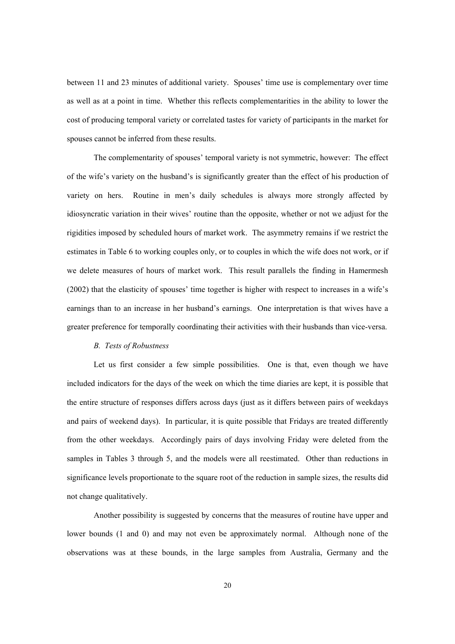between 11 and 23 minutes of additional variety. Spouses' time use is complementary over time as well as at a point in time. Whether this reflects complementarities in the ability to lower the cost of producing temporal variety or correlated tastes for variety of participants in the market for spouses cannot be inferred from these results.

The complementarity of spouses' temporal variety is not symmetric, however: The effect of the wife's variety on the husband's is significantly greater than the effect of his production of variety on hers. Routine in men's daily schedules is always more strongly affected by idiosyncratic variation in their wives' routine than the opposite, whether or not we adjust for the rigidities imposed by scheduled hours of market work. The asymmetry remains if we restrict the estimates in Table 6 to working couples only, or to couples in which the wife does not work, or if we delete measures of hours of market work. This result parallels the finding in Hamermesh (2002) that the elasticity of spouses' time together is higher with respect to increases in a wife's earnings than to an increase in her husband's earnings. One interpretation is that wives have a greater preference for temporally coordinating their activities with their husbands than vice-versa.

#### *B. Tests of Robustness*

Let us first consider a few simple possibilities. One is that, even though we have included indicators for the days of the week on which the time diaries are kept, it is possible that the entire structure of responses differs across days (just as it differs between pairs of weekdays and pairs of weekend days). In particular, it is quite possible that Fridays are treated differently from the other weekdays. Accordingly pairs of days involving Friday were deleted from the samples in Tables 3 through 5, and the models were all reestimated. Other than reductions in significance levels proportionate to the square root of the reduction in sample sizes, the results did not change qualitatively.

 Another possibility is suggested by concerns that the measures of routine have upper and lower bounds (1 and 0) and may not even be approximately normal. Although none of the observations was at these bounds, in the large samples from Australia, Germany and the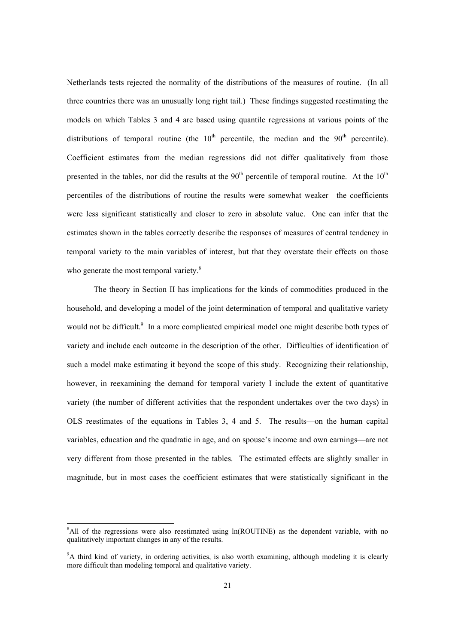Netherlands tests rejected the normality of the distributions of the measures of routine. (In all three countries there was an unusually long right tail.) These findings suggested reestimating the models on which Tables 3 and 4 are based using quantile regressions at various points of the distributions of temporal routine (the  $10<sup>th</sup>$  percentile, the median and the  $90<sup>th</sup>$  percentile). Coefficient estimates from the median regressions did not differ qualitatively from those presented in the tables, nor did the results at the  $90<sup>th</sup>$  percentile of temporal routine. At the  $10<sup>th</sup>$ percentiles of the distributions of routine the results were somewhat weaker—the coefficients were less significant statistically and closer to zero in absolute value. One can infer that the estimates shown in the tables correctly describe the responses of measures of central tendency in temporal variety to the main variables of interest, but that they overstate their effects on those who generate the most temporal variety.<sup>8</sup>

The theory in Section II has implications for the kinds of commodities produced in the household, and developing a model of the joint determination of temporal and qualitative variety would not be difficult.<sup>9</sup> In a more complicated empirical model one might describe both types of variety and include each outcome in the description of the other. Difficulties of identification of such a model make estimating it beyond the scope of this study. Recognizing their relationship, however, in reexamining the demand for temporal variety I include the extent of quantitative variety (the number of different activities that the respondent undertakes over the two days) in OLS reestimates of the equations in Tables 3, 4 and 5. The results—on the human capital variables, education and the quadratic in age, and on spouse's income and own earnings—are not very different from those presented in the tables. The estimated effects are slightly smaller in magnitude, but in most cases the coefficient estimates that were statistically significant in the

 $\overline{a}$ 

<sup>&</sup>lt;sup>8</sup>All of the regressions were also reestimated using ln(ROUTINE) as the dependent variable, with no qualitatively important changes in any of the results.

 <sup>9</sup> A third kind of variety, in ordering activities, is also worth examining, although modeling it is clearly more difficult than modeling temporal and qualitative variety.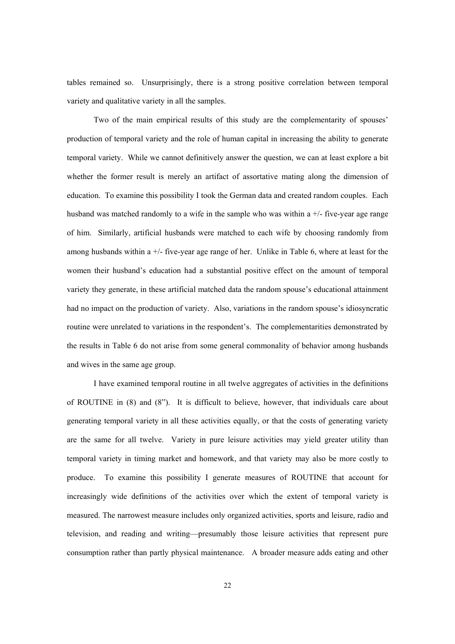tables remained so. Unsurprisingly, there is a strong positive correlation between temporal variety and qualitative variety in all the samples.

Two of the main empirical results of this study are the complementarity of spouses' production of temporal variety and the role of human capital in increasing the ability to generate temporal variety. While we cannot definitively answer the question, we can at least explore a bit whether the former result is merely an artifact of assortative mating along the dimension of education. To examine this possibility I took the German data and created random couples. Each husband was matched randomly to a wife in the sample who was within a  $+/-$  five-year age range of him. Similarly, artificial husbands were matched to each wife by choosing randomly from among husbands within a +/- five-year age range of her. Unlike in Table 6, where at least for the women their husband's education had a substantial positive effect on the amount of temporal variety they generate, in these artificial matched data the random spouse's educational attainment had no impact on the production of variety. Also, variations in the random spouse's idiosyncratic routine were unrelated to variations in the respondent's. The complementarities demonstrated by the results in Table 6 do not arise from some general commonality of behavior among husbands and wives in the same age group.

I have examined temporal routine in all twelve aggregates of activities in the definitions of ROUTINE in (8) and (8"). It is difficult to believe, however, that individuals care about generating temporal variety in all these activities equally, or that the costs of generating variety are the same for all twelve. Variety in pure leisure activities may yield greater utility than temporal variety in timing market and homework, and that variety may also be more costly to produce. To examine this possibility I generate measures of ROUTINE that account for increasingly wide definitions of the activities over which the extent of temporal variety is measured. The narrowest measure includes only organized activities, sports and leisure, radio and television, and reading and writing—presumably those leisure activities that represent pure consumption rather than partly physical maintenance. A broader measure adds eating and other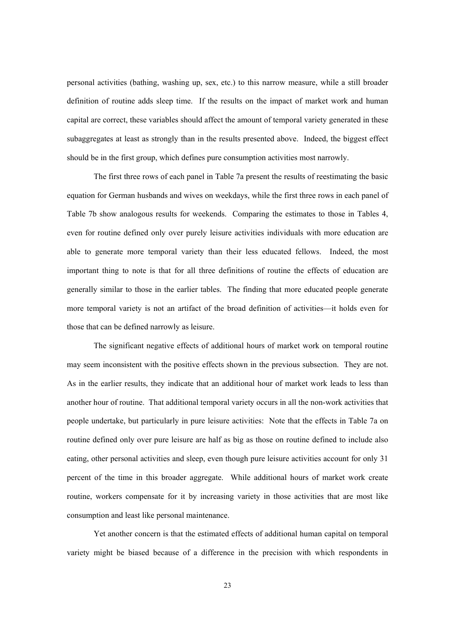personal activities (bathing, washing up, sex, etc.) to this narrow measure, while a still broader definition of routine adds sleep time. If the results on the impact of market work and human capital are correct, these variables should affect the amount of temporal variety generated in these subaggregates at least as strongly than in the results presented above. Indeed, the biggest effect should be in the first group, which defines pure consumption activities most narrowly.

The first three rows of each panel in Table 7a present the results of reestimating the basic equation for German husbands and wives on weekdays, while the first three rows in each panel of Table 7b show analogous results for weekends. Comparing the estimates to those in Tables 4, even for routine defined only over purely leisure activities individuals with more education are able to generate more temporal variety than their less educated fellows. Indeed, the most important thing to note is that for all three definitions of routine the effects of education are generally similar to those in the earlier tables. The finding that more educated people generate more temporal variety is not an artifact of the broad definition of activities—it holds even for those that can be defined narrowly as leisure.

The significant negative effects of additional hours of market work on temporal routine may seem inconsistent with the positive effects shown in the previous subsection. They are not. As in the earlier results, they indicate that an additional hour of market work leads to less than another hour of routine. That additional temporal variety occurs in all the non-work activities that people undertake, but particularly in pure leisure activities: Note that the effects in Table 7a on routine defined only over pure leisure are half as big as those on routine defined to include also eating, other personal activities and sleep, even though pure leisure activities account for only 31 percent of the time in this broader aggregate. While additional hours of market work create routine, workers compensate for it by increasing variety in those activities that are most like consumption and least like personal maintenance.

Yet another concern is that the estimated effects of additional human capital on temporal variety might be biased because of a difference in the precision with which respondents in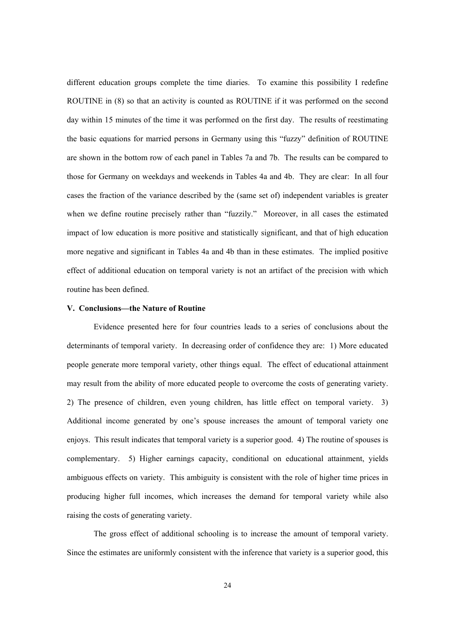different education groups complete the time diaries. To examine this possibility I redefine ROUTINE in (8) so that an activity is counted as ROUTINE if it was performed on the second day within 15 minutes of the time it was performed on the first day. The results of reestimating the basic equations for married persons in Germany using this "fuzzy" definition of ROUTINE are shown in the bottom row of each panel in Tables 7a and 7b. The results can be compared to those for Germany on weekdays and weekends in Tables 4a and 4b. They are clear: In all four cases the fraction of the variance described by the (same set of) independent variables is greater when we define routine precisely rather than "fuzzily." Moreover, in all cases the estimated impact of low education is more positive and statistically significant, and that of high education more negative and significant in Tables 4a and 4b than in these estimates. The implied positive effect of additional education on temporal variety is not an artifact of the precision with which routine has been defined.

#### **V. Conclusions—the Nature of Routine**

 Evidence presented here for four countries leads to a series of conclusions about the determinants of temporal variety. In decreasing order of confidence they are: 1) More educated people generate more temporal variety, other things equal. The effect of educational attainment may result from the ability of more educated people to overcome the costs of generating variety. 2) The presence of children, even young children, has little effect on temporal variety. 3) Additional income generated by one's spouse increases the amount of temporal variety one enjoys. This result indicates that temporal variety is a superior good. 4) The routine of spouses is complementary. 5) Higher earnings capacity, conditional on educational attainment, yields ambiguous effects on variety. This ambiguity is consistent with the role of higher time prices in producing higher full incomes, which increases the demand for temporal variety while also raising the costs of generating variety.

 The gross effect of additional schooling is to increase the amount of temporal variety. Since the estimates are uniformly consistent with the inference that variety is a superior good, this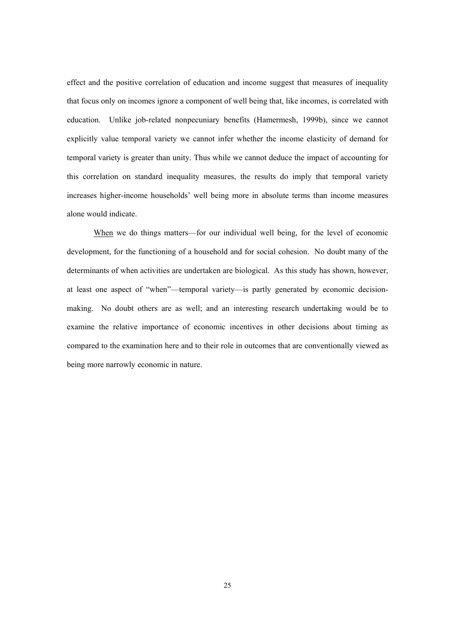effect and the positive correlation of education and income suggest that measures of inequality that focus only on incomes ignore a component of well being that, like incomes, is correlated with education. Unlike job-related nonpecuniary benefits (Hamermesh, 1999b), since we cannot explicitly value temporal variety we cannot infer whether the income elasticity of demand for temporal variety is greater than unity. Thus while we cannot deduce the impact of accounting for this correlation on standard inequality measures, the results do imply that temporal variety increases higher-income households' well being more in absolute terms than income measures alone would indicate.

 When we do things matters—for our individual well being, for the level of economic development, for the functioning of a household and for social cohesion. No doubt many of the determinants of when activities are undertaken are biological. As this study has shown, however, at least one aspect of "when"—temporal variety—is partly generated by economic decisionmaking. No doubt others are as well; and an interesting research undertaking would be to examine the relative importance of economic incentives in other decisions about timing as compared to the examination here and to their role in outcomes that are conventionally viewed as being more narrowly economic in nature.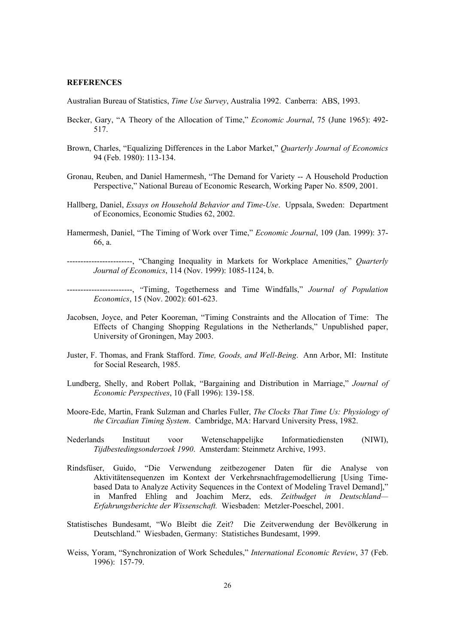#### **REFERENCES**

Australian Bureau of Statistics, *Time Use Survey*, Australia 1992. Canberra: ABS, 1993.

- Becker, Gary, "A Theory of the Allocation of Time," *Economic Journal*, 75 (June 1965): 492- 517.
- Brown, Charles, "Equalizing Differences in the Labor Market," *Quarterly Journal of Economics* 94 (Feb. 1980): 113-134.
- Gronau, Reuben, and Daniel Hamermesh, "The Demand for Variety -- A Household Production Perspective," National Bureau of Economic Research, Working Paper No. 8509, 2001.
- Hallberg, Daniel, *Essays on Household Behavior and Time-Use*. Uppsala, Sweden: Department of Economics, Economic Studies 62, 2002.
- Hamermesh, Daniel, "The Timing of Work over Time," *Economic Journal*, 109 (Jan. 1999): 37- 66, a.
- ------------------------, "Changing Inequality in Markets for Workplace Amenities," *Quarterly Journal of Economics*, 114 (Nov. 1999): 1085-1124, b.
- ------------------------, "Timing, Togetherness and Time Windfalls," *Journal of Population Economics*, 15 (Nov. 2002): 601-623.
- Jacobsen, Joyce, and Peter Kooreman, "Timing Constraints and the Allocation of Time: The Effects of Changing Shopping Regulations in the Netherlands," Unpublished paper, University of Groningen, May 2003.
- Juster, F. Thomas, and Frank Stafford. *Time, Goods, and Well-Being*. Ann Arbor, MI: Institute for Social Research, 1985.
- Lundberg, Shelly, and Robert Pollak, "Bargaining and Distribution in Marriage," *Journal of Economic Perspectives*, 10 (Fall 1996): 139-158.
- Moore-Ede, Martin, Frank Sulzman and Charles Fuller, *The Clocks That Time Us: Physiology of the Circadian Timing System*. Cambridge, MA: Harvard University Press, 1982.
- Nederlands Instituut voor Wetenschappelijke Informatiediensten (NIWI), *Tijdbestedingsonderzoek 1990*. Amsterdam: Steinmetz Archive, 1993.
- Rindsfüser, Guido, "Die Verwendung zeitbezogener Daten für die Analyse von Aktivitätensequenzen im Kontext der Verkehrsnachfragemodellierung [Using Timebased Data to Analyze Activity Sequences in the Context of Modeling Travel Demand]," in Manfred Ehling and Joachim Merz, eds. *Zeitbudget in Deutschland— Erfahrungsberichte der Wissenschaft.* Wiesbaden: Metzler-Poeschel, 2001.
- Statistisches Bundesamt, "Wo Bleibt die Zeit? Die Zeitverwendung der Bevölkerung in Deutschland." Wiesbaden, Germany: Statistiches Bundesamt, 1999.
- Weiss, Yoram, "Synchronization of Work Schedules," *International Economic Review*, 37 (Feb. 1996): 157-79.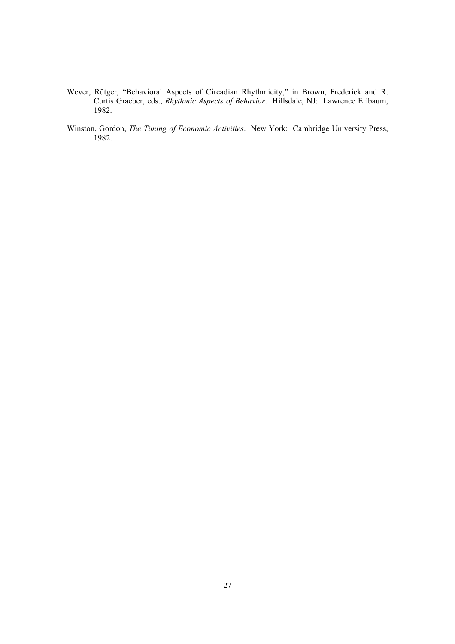- Wever, Rütger, "Behavioral Aspects of Circadian Rhythmicity," in Brown, Frederick and R. Curtis Graeber, eds., *Rhythmic Aspects of Behavior*. Hillsdale, NJ: Lawrence Erlbaum, 1982.
- Winston, Gordon, *The Timing of Economic Activities*. New York: Cambridge University Press, 1982.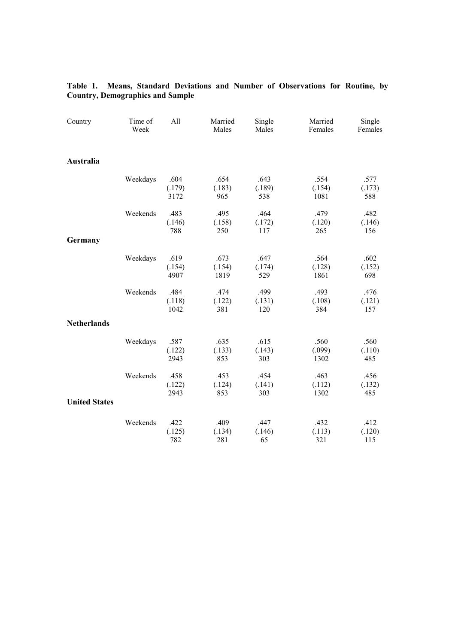| Country              | Time of<br>Week | All                    | Married<br>Males       | Single<br>Males       | Married<br>Females     | Single<br>Females     |
|----------------------|-----------------|------------------------|------------------------|-----------------------|------------------------|-----------------------|
| Australia            |                 |                        |                        |                       |                        |                       |
|                      | Weekdays        | .604<br>(.179)<br>3172 | .654<br>(.183)<br>965  | .643<br>(.189)<br>538 | .554<br>(.154)<br>1081 | .577<br>(.173)<br>588 |
|                      | Weekends        | .483<br>(.146)<br>788  | .495<br>(.158)<br>250  | .464<br>(.172)<br>117 | .479<br>(.120)<br>265  | .482<br>(.146)<br>156 |
| Germany              |                 |                        |                        |                       |                        |                       |
|                      | Weekdays        | .619<br>(.154)<br>4907 | .673<br>(.154)<br>1819 | .647<br>(.174)<br>529 | .564<br>(.128)<br>1861 | .602<br>(.152)<br>698 |
|                      | Weekends        | .484<br>(.118)<br>1042 | .474<br>(.122)<br>381  | .499<br>(.131)<br>120 | .493<br>(.108)<br>384  | .476<br>(.121)<br>157 |
| <b>Netherlands</b>   |                 |                        |                        |                       |                        |                       |
|                      | Weekdays        | .587<br>(.122)<br>2943 | .635<br>(.133)<br>853  | .615<br>(.143)<br>303 | .560<br>(.099)<br>1302 | .560<br>(.110)<br>485 |
|                      | Weekends        | .458<br>(.122)<br>2943 | .453<br>(.124)<br>853  | .454<br>(.141)<br>303 | .463<br>(.112)<br>1302 | .456<br>(.132)<br>485 |
| <b>United States</b> |                 |                        |                        |                       |                        |                       |
|                      | Weekends        | .422<br>(.125)<br>782  | .409<br>(.134)<br>281  | .447<br>(.146)<br>65  | .432<br>(.113)<br>321  | .412<br>(.120)<br>115 |

## **Table 1. Means, Standard Deviations and Number of Observations for Routine, by Country, Demographics and Sample**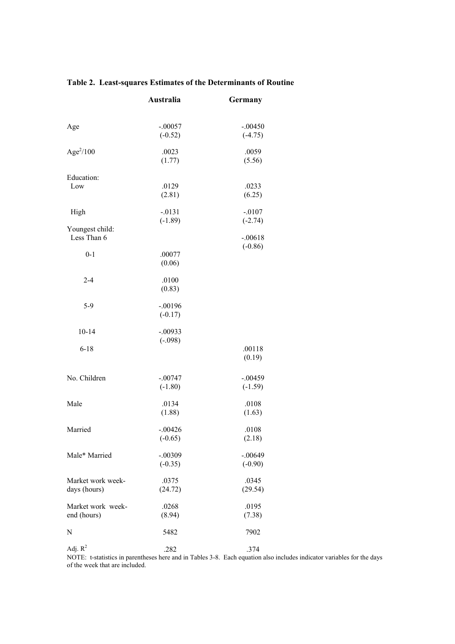|                                   | <b>Australia</b>       | Germany                |
|-----------------------------------|------------------------|------------------------|
| Age                               | $-.00057$<br>$(-0.52)$ | $-.00450$<br>$(-4.75)$ |
| Age <sup>2</sup> /100             | .0023<br>(1.77)        | .0059<br>(5.56)        |
| Education:<br>Low                 | .0129<br>(2.81)        | .0233<br>(6.25)        |
| High                              | $-.0131$<br>$(-1.89)$  | $-.0107$<br>$(-2.74)$  |
| Youngest child:<br>Less Than 6    |                        | $-.00618$<br>$(-0.86)$ |
| $0 - 1$                           | .00077<br>(0.06)       |                        |
| $2 - 4$                           | .0100<br>(0.83)        |                        |
| $5-9$                             | $-.00196$<br>$(-0.17)$ |                        |
| $10 - 14$                         | $-.00933$<br>$(-.098)$ |                        |
| $6 - 18$                          |                        | .00118<br>(0.19)       |
| No. Children                      | $-.00747$<br>$(-1.80)$ | $-.00459$<br>$(-1.59)$ |
| Male                              | .0134<br>(1.88)        | .0108<br>(1.63)        |
| Married                           | $-.00426$<br>$(-0.65)$ | .0108<br>(2.18)        |
| Male* Married                     | $-.00309$<br>$(-0.35)$ | $-.00649$<br>$(-0.90)$ |
| Market work week-<br>days (hours) | .0375<br>(24.72)       | .0345<br>(29.54)       |
| Market work week-<br>end (hours)  | .0268<br>(8.94)        | .0195<br>(7.38)        |
| $\mathbf N$                       | 5482                   | 7902                   |
| Adj. $R^2$                        | .282                   | .374                   |

## **Table 2. Least-squares Estimates of the Determinants of Routine**

NOTE: t-statistics in parentheses here and in Tables 3-8. Each equation also includes indicator variables for the days of the week that are included.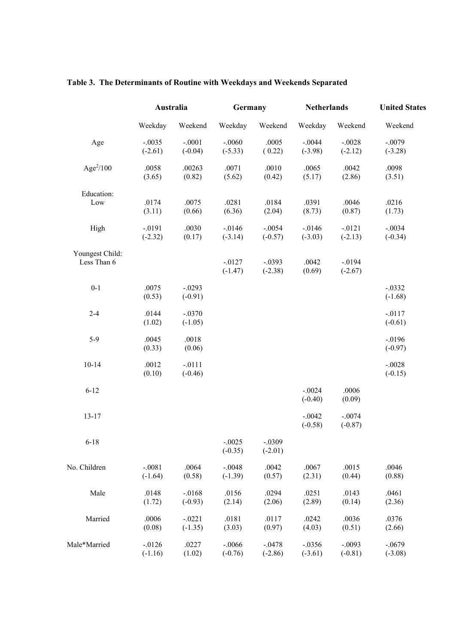|                                | Australia             |                       | Germany               |                       | <b>Netherlands</b>    |                       | <b>United States</b>  |
|--------------------------------|-----------------------|-----------------------|-----------------------|-----------------------|-----------------------|-----------------------|-----------------------|
|                                | Weekday               | Weekend               | Weekday               | Weekend               | Weekday               | Weekend               | Weekend               |
| Age                            | $-.0035$<br>$(-2.61)$ | $-.0001$<br>$(-0.04)$ | $-.0060$<br>$(-5.33)$ | .0005<br>(0.22)       | $-.0044$<br>$(-3.98)$ | $-.0028$<br>$(-2.12)$ | $-.0079$<br>$(-3.28)$ |
| Age <sup>2</sup> /100          | .0058<br>(3.65)       | .00263<br>(0.82)      | .0071<br>(5.62)       | .0010<br>(0.42)       | .0065<br>(5.17)       | .0042<br>(2.86)       | .0098<br>(3.51)       |
| Education:<br>Low              | .0174<br>(3.11)       | .0075<br>(0.66)       | .0281<br>(6.36)       | .0184<br>(2.04)       | .0391<br>(8.73)       | .0046<br>(0.87)       | .0216<br>(1.73)       |
| High                           | $-.0191$<br>$(-2.32)$ | .0030<br>(0.17)       | $-.0146$<br>$(-3.14)$ | $-.0054$<br>$(-0.57)$ | $-.0146$<br>$(-3.03)$ | $-.0121$<br>$(-2.13)$ | $-.0034$<br>$(-0.34)$ |
| Youngest Child:<br>Less Than 6 |                       |                       | $-0127$<br>$(-1.47)$  | $-.0393$<br>$(-2.38)$ | .0042<br>(0.69)       | $-.0194$<br>$(-2.67)$ |                       |
| $0 - 1$                        | .0075<br>(0.53)       | $-.0293$<br>$(-0.91)$ |                       |                       |                       |                       | $-.0332$<br>$(-1.68)$ |
| $2 - 4$                        | .0144<br>(1.02)       | $-.0370$<br>$(-1.05)$ |                       |                       |                       |                       | $-.0117$<br>$(-0.61)$ |
| $5-9$                          | .0045<br>(0.33)       | .0018<br>(0.06)       |                       |                       |                       |                       | $-.0196$<br>$(-0.97)$ |
| $10 - 14$                      | .0012<br>(0.10)       | $-.0111$<br>$(-0.46)$ |                       |                       |                       |                       | $-.0028$<br>$(-0.15)$ |
| $6 - 12$                       |                       |                       |                       |                       | $-.0024$<br>$(-0.40)$ | .0006<br>(0.09)       |                       |
| $13 - 17$                      |                       |                       |                       |                       | $-.0042$<br>$(-0.58)$ | $-.0074$<br>$(-0.87)$ |                       |
| $6 - 18$                       |                       |                       | $-.0025$<br>$(-0.35)$ | $-.0309$<br>$(-2.01)$ |                       |                       |                       |
| No. Children                   | $-.0081$<br>$(-1.64)$ | .0064<br>(0.58)       | $-.0048$<br>$(-1.39)$ | .0042<br>(0.57)       | .0067<br>(2.31)       | .0015<br>(0.44)       | .0046<br>(0.88)       |
| Male                           | .0148<br>(1.72)       | $-.0168$<br>$(-0.93)$ | .0156<br>(2.14)       | .0294<br>(2.06)       | .0251<br>(2.89)       | .0143<br>(0.14)       | .0461<br>(2.36)       |
| Married                        | .0006<br>(0.08)       | $-.0221$<br>$(-1.35)$ | .0181<br>(3.03)       | .0117<br>(0.97)       | .0242<br>(4.03)       | .0036<br>(0.51)       | .0376<br>(2.66)       |
| Male*Married                   | $-.0126$<br>$(-1.16)$ | .0227<br>(1.02)       | $-.0066$<br>$(-0.76)$ | $-.0478$<br>$(-2.86)$ | $-.0356$<br>$(-3.61)$ | $-.0093$<br>$(-0.81)$ | $-.0679$<br>$(-3.08)$ |

## **Table 3. The Determinants of Routine with Weekdays and Weekends Separated**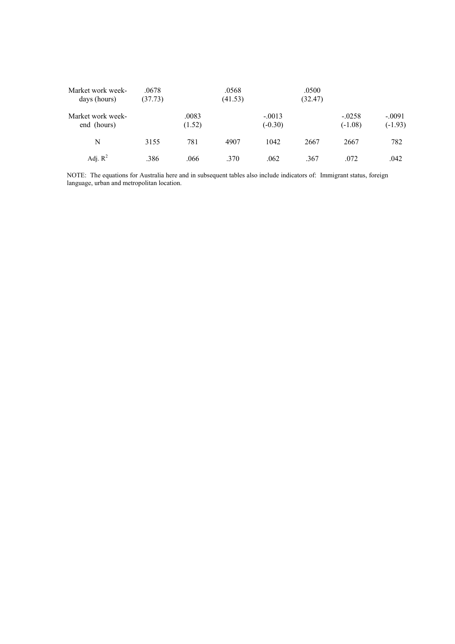| Market work week-<br>days (hours) | .0678<br>(37.73) |                 | .0568<br>(41.53) |                       | .0500<br>(32.47) |                       |                       |
|-----------------------------------|------------------|-----------------|------------------|-----------------------|------------------|-----------------------|-----------------------|
| Market work week-<br>end (hours)  |                  | .0083<br>(1.52) |                  | $-.0013$<br>$(-0.30)$ |                  | $-.0258$<br>$(-1.08)$ | $-.0091$<br>$(-1.93)$ |
| N                                 | 3155             | 781             | 4907             | 1042                  | 2667             | 2667                  | 782                   |
| Adj. $R^2$                        | .386             | .066            | .370             | .062                  | .367             | .072                  | .042                  |

NOTE: The equations for Australia here and in subsequent tables also include indicators of: Immigrant status, foreign language, urban and metropolitan location.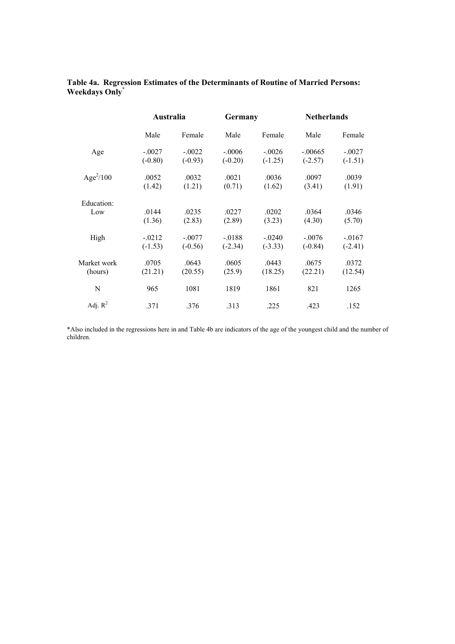|                       | Australia |           |           | Germany   |           | <b>Netherlands</b> |
|-----------------------|-----------|-----------|-----------|-----------|-----------|--------------------|
|                       | Male      | Female    | Male      | Female    | Male      | Female             |
| Age                   | $-.0027$  | $-.0022$  | $-.0006$  | $-.0026$  | $-.00665$ | $-.0027$           |
|                       | $(-0.80)$ | $(-0.93)$ | $(-0.20)$ | $(-1.25)$ | $(-2.57)$ | $(-1.51)$          |
| Age <sup>2</sup> /100 | .0052     | .0032     | .0021     | .0036     | .0097     | .0039              |
|                       | (1.42)    | (1.21)    | (0.71)    | (1.62)    | (3.41)    | (1.91)             |
| Education:            | .0144     | .0235     | .0227     | .0202     | .0364     | .0346              |
| Low                   | (1.36)    | (2.83)    | (2.89)    | (3.23)    | (4.30)    | (5.70)             |
| High                  | $-0.0212$ | $-.0077$  | $-.0188$  | $-.0240$  | $-.0076$  | $-0.0167$          |
|                       | $(-1.53)$ | $(-0.56)$ | $(-2.34)$ | $(-3.33)$ | $(-0.84)$ | $(-2.41)$          |
| Market work           | .0705     | .0643     | .0605     | .0443     | .0675     | .0372              |
| (hours)               | (21.21)   | (20.55)   | (25.9)    | (18.25)   | (22.21)   | (12.54)            |
| N                     | 965       | 1081      | 1819      | 1861      | 821       | 1265               |
| Adj. $R^2$            | .371      | .376      | .313      | .225      | .423      | .152               |

#### **Table 4a. Regression Estimates of the Determinants of Routine of Married Persons: Weekdays Only\***

\*Also included in the regressions here in and Table 4b are indicators of the age of the youngest child and the number of children.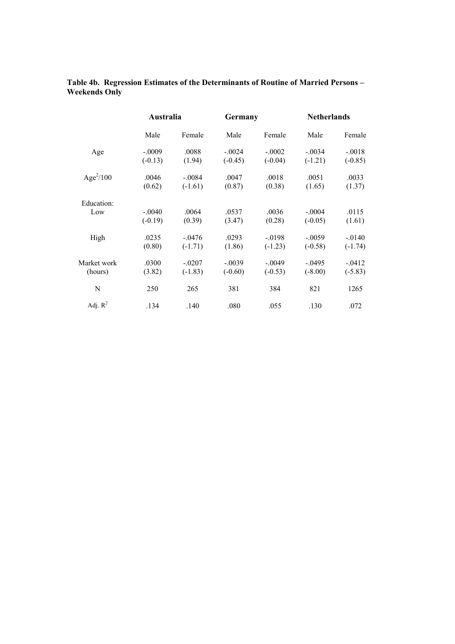|                       | Australia |           |           | Germany   |           | <b>Netherlands</b> |
|-----------------------|-----------|-----------|-----------|-----------|-----------|--------------------|
|                       | Male      | Female    | Male      | Female    | Male      | Female             |
| Age                   | $-.0009$  | .0088     | $-.0024$  | $-.0002$  | $-.0034$  | $-.0018$           |
|                       | $(-0.13)$ | (1.94)    | $(-0.45)$ | $(-0.04)$ | $(-1.21)$ | $(-0.85)$          |
| Age <sup>2</sup> /100 | .0046     | $-.0084$  | .0047     | .0018     | .0051     | .0033              |
|                       | (0.62)    | $(-1.61)$ | (0.87)    | (0.38)    | (1.65)    | (1.37)             |
| Education:            |           |           |           |           |           |                    |
| Low                   | $-.0040$  | .0064     | .0537     | .0036     | $-.0004$  | .0115              |
|                       | $(-0.19)$ | (0.39)    | (3.47)    | (0.28)    | $(-0.05)$ | (1.61)             |
| High                  | .0235     | $-.0476$  | .0293     | $-.0198$  | $-.0059$  | $-0.0140$          |
|                       | (0.80)    | $(-1.71)$ | (1.86)    | $(-1.23)$ | $(-0.58)$ | $(-1.74)$          |
| Market work           | .0300     | $-.0207$  | $-.0039$  | $-.0049$  | $-.0495$  | $-0.0412$          |
| (hours)               | (3.82)    | $(-1.83)$ | $(-0.60)$ | $(-0.53)$ | $(-8.00)$ | $(-5.83)$          |
| N                     | 250       | 265       | 381       | 384       | 821       | 1265               |
| Adj. $R^2$            | .134      | .140      | .080      | .055      | .130      | .072               |

## **Table 4b. Regression Estimates of the Determinants of Routine of Married Persons – Weekends Only**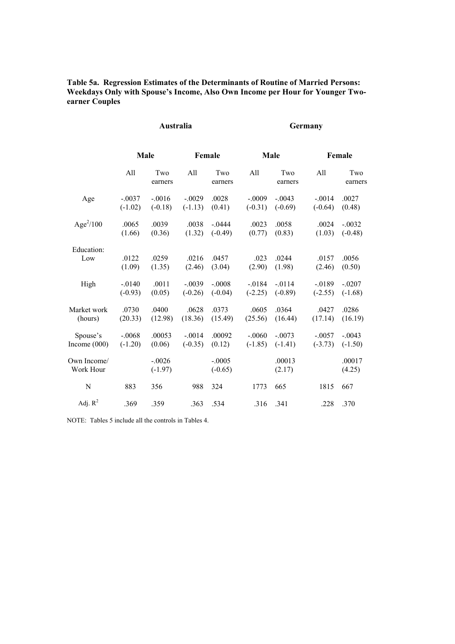## **Table 5a. Regression Estimates of the Determinants of Routine of Married Persons: Weekdays Only with Spouse's Income, Also Own Income per Hour for Younger Twoearner Couples**

**Australia Germany** 

|                          | Male      |                       |           | Female                |           | Male             |           | Female           |  |
|--------------------------|-----------|-----------------------|-----------|-----------------------|-----------|------------------|-----------|------------------|--|
|                          | All       | Two<br>earners        | All       | Two<br>earners        | All       | Two<br>earners   | All       | Two<br>earners   |  |
| Age                      | $-.0037$  | $-.0016$              | $-.0029$  | .0028                 | $-.0009$  | $-.0043$         | $-.0014$  | .0027            |  |
|                          | $(-1.02)$ | $(-0.18)$             | $(-1.13)$ | (0.41)                | $(-0.31)$ | $(-0.69)$        | $(-0.64)$ | (0.48)           |  |
| Age $^{2}/100$           | .0065     | .0039                 | .0038     | $-0.0444$             | .0023     | .0058            | .0024     | $-.0032$         |  |
|                          | (1.66)    | (0.36)                | (1.32)    | $(-0.49)$             | (0.77)    | (0.83)           | (1.03)    | $(-0.48)$        |  |
| Education:               | .0122     | .0259                 | .0216     | .0457                 | .023      | .0244            | .0157     | .0056            |  |
| Low                      | (1.09)    | (1.35)                | (2.46)    | (3.04)                | (2.90)    | (1.98)           | (2.46)    | (0.50)           |  |
| High                     | $-.0140$  | .0011                 | $-.0039$  | $-.0008$              | $-0.0184$ | $-.0114$         | $-0.0189$ | $-.0207$         |  |
|                          | $(-0.93)$ | (0.05)                | $(-0.26)$ | $(-0.04)$             | $(-2.25)$ | $(-0.89)$        | $(-2.55)$ | $(-1.68)$        |  |
| Market work              | .0730     | .0400                 | .0628     | .0373                 | .0605     | .0364            | .0427     | .0286            |  |
| (hours)                  | (20.33)   | (12.98)               | (18.36)   | (15.49)               | (25.56)   | (16.44)          | (17.14)   | (16.19)          |  |
| Spouse's                 | $-.0068$  | .00053                | $-.0014$  | .00092                | $-.0060$  | $-.0073$         | $-.0057$  | $-.0043$         |  |
| Income $(000)$           | $(-1.20)$ | (0.06)                | $(-0.35)$ | (0.12)                | $(-1.85)$ | $(-1.41)$        | $(-3.73)$ | $(-1.50)$        |  |
| Own Income/<br>Work Hour |           | $-.0026$<br>$(-1.97)$ |           | $-.0005$<br>$(-0.65)$ |           | .00013<br>(2.17) |           | .00017<br>(4.25) |  |
| N                        | 883       | 356                   | 988       | 324                   | 1773      | 665              | 1815      | 667              |  |
| Adj. $R^2$               | .369      | .359                  | .363      | .534                  | .316      | .341             | .228      | .370             |  |

NOTE: Tables 5 include all the controls in Tables 4.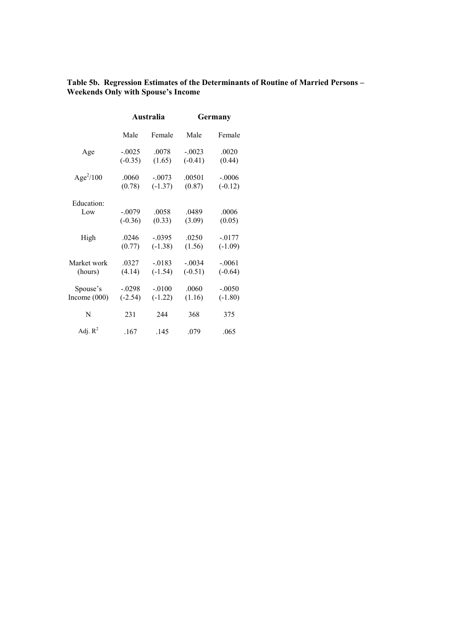#### **Table 5b. Regression Estimates of the Determinants of Routine of Married Persons – Weekends Only with Spouse's Income**

|                       |           | Australia |           | Germany   |  |
|-----------------------|-----------|-----------|-----------|-----------|--|
|                       | Male      | Female    | Male      | Female    |  |
| Age                   | $-.0025$  | .0078     | $-.0023$  | .0020     |  |
|                       | $(-0.35)$ | (1.65)    | $(-0.41)$ | (0.44)    |  |
| Age <sup>2</sup> /100 | .0060     | $-.0073$  | .00501    | $-.0006$  |  |
|                       | (0.78)    | $(-1.37)$ | (0.87)    | $(-0.12)$ |  |
| Education:            |           |           |           |           |  |
| Low                   | $-.0079$  | .0058     | .0489     | .0006     |  |
|                       | $(-0.36)$ | (0.33)    | (3.09)    | (0.05)    |  |
| High                  | .0246     | $-.0395$  | .0250     | $-0177$   |  |
|                       | (0.77)    | $(-1.38)$ | (1.56)    | $(-1.09)$ |  |
| Market work           | .0327     | $-.0183$  | $-.0034$  | $-.0061$  |  |
| (hours)               | (4.14)    | $(-1.54)$ | $(-0.51)$ | $(-0.64)$ |  |
| Spouse's              | $-.0298$  | $-.0100$  | .0060     | $-.0050$  |  |
| Income $(000)$        | $(-2.54)$ | $(-1.22)$ | (1.16)    | $(-1.80)$ |  |
| N                     | 231       | 244       | 368       | 375       |  |
| Adj. $R^2$            | .167      | .145      | .079      | .065      |  |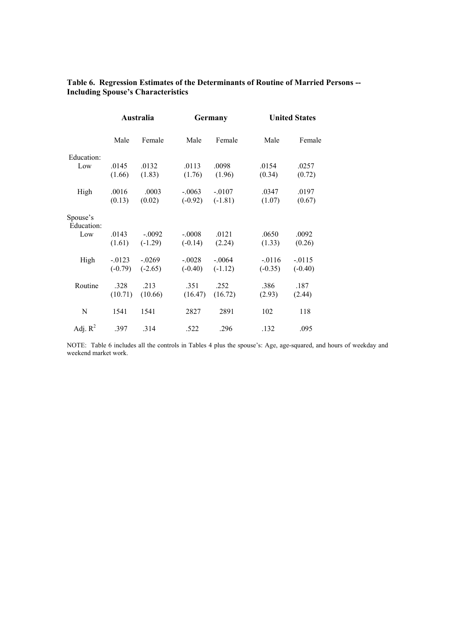| Table 6. Regression Estimates of the Determinants of Routine of Married Persons -- |
|------------------------------------------------------------------------------------|
| <b>Including Spouse's Characteristics</b>                                          |

|                        |           | Australia |           | Germany   |           | <b>United States</b> |
|------------------------|-----------|-----------|-----------|-----------|-----------|----------------------|
|                        | Male      | Female    | Male      | Female    | Male      | Female               |
| Education:             |           |           |           |           |           |                      |
| Low                    | .0145     | .0132     | .0113     | .0098     | .0154     | .0257                |
|                        | (1.66)    | (1.83)    | (1.76)    | (1.96)    | (0.34)    | (0.72)               |
| High                   | .0016     | .0003     | $-.0063$  | $-.0107$  | .0347     | .0197                |
|                        | (0.13)    | (0.02)    | $(-0.92)$ | $(-1.81)$ | (1.07)    | (0.67)               |
| Spouse's<br>Education: |           |           |           |           |           |                      |
| Low                    | .0143     | $-.0092$  | $-.0008$  | .0121     | .0650     | .0092                |
|                        | (1.61)    | $(-1.29)$ | $(-0.14)$ | (2.24)    | (1.33)    | (0.26)               |
| High                   | $-0.0123$ | $-0.0269$ | $-.0028$  | $-.0064$  | $-0116$   | $-0.0115$            |
|                        | $(-0.79)$ | $(-2.65)$ | $(-0.40)$ | $(-1.12)$ | $(-0.35)$ | $(-0.40)$            |
| Routine                | .328      | .213      | .351      | .252      | .386      | .187                 |
|                        | (10.71)   | (10.66)   | (16.47)   | (16.72)   | (2.93)    | (2.44)               |
| N                      | 1541      | 1541      | 2827      | 2891      | 102       | 118                  |
| Adj. $R^2$             | .397      | .314      | .522      | .296      | .132      | .095                 |

NOTE: Table 6 includes all the controls in Tables 4 plus the spouse's: Age, age-squared, and hours of weekday and weekend market work.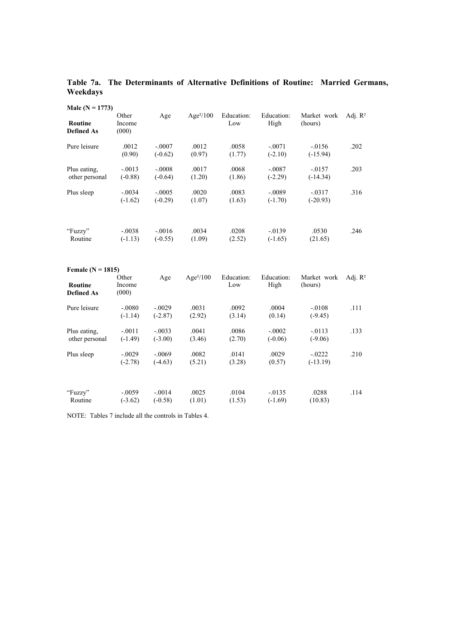**Table 7a. The Determinants of Alternative Definitions of Routine: Married Germans, Weekdays** 

| Male ( $N = 1773$ )                                          |                          |                       |                       |                   |                        |                        |            |
|--------------------------------------------------------------|--------------------------|-----------------------|-----------------------|-------------------|------------------------|------------------------|------------|
| Routine<br><b>Defined As</b>                                 | Other<br>Income<br>(000) | Age                   | Age <sup>2</sup> /100 | Education:<br>Low | Education:<br>High     | Market work<br>(hours) | Adj. $R^2$ |
| Pure leisure                                                 | .0012<br>(0.90)          | $-.0007$<br>$(-0.62)$ | .0012<br>(0.97)       | .0058<br>(1.77)   | $-.0071$<br>$(-2.10)$  | $-.0156$<br>$(-15.94)$ | .202       |
| Plus eating,<br>other personal                               | $-.0013$<br>$(-0.88)$    | $-.0008$<br>$(-0.64)$ | .0017<br>(1.20)       | .0068<br>(1.86)   | $-.0087$<br>$(-2.29)$  | $-.0157$<br>$(-14.34)$ | .203       |
| Plus sleep                                                   | $-.0034$<br>$(-1.62)$    | $-.0005$<br>$(-0.29)$ | .0020<br>(1.07)       | .0083<br>(1.63)   | $-.0089$<br>$(-1.70)$  | $-.0317$<br>$(-20.93)$ | .316       |
| "Fuzzy"<br>Routine                                           | $-.0038$<br>$(-1.13)$    | $-.0016$<br>$(-0.55)$ | .0034<br>(1.09)       | .0208<br>(2.52)   | $-0.0139$<br>$(-1.65)$ | .0530<br>(21.65)       | .246       |
| Female ( $N = 1815$ )<br><b>Routine</b><br><b>Defined As</b> | Other<br>Income<br>(000) | Age                   | Age <sup>2</sup> /100 | Education:<br>Low | Education:<br>High     | Market work<br>(hours) | Adj. $R^2$ |
| Pure leisure                                                 | $-.0080$<br>$(-1.14)$    | $-.0029$<br>$(-2.87)$ | .0031<br>(2.92)       | .0092<br>(3.14)   | .0004<br>(0.14)        | $-.0108$<br>$(-9.45)$  | .111       |
| Plus eating,<br>other personal                               | $-.0011$<br>$(-1.49)$    | $-.0033$<br>$(-3.00)$ | .0041<br>(3.46)       | .0086<br>(2.70)   | $-.0002$<br>$(-0.06)$  | $-.0113$<br>$(-9.06)$  | .133       |
| Plus sleep                                                   | $-.0029$<br>$(-2.78)$    | $-.0069$<br>$(-4.63)$ | .0082<br>(5.21)       | .0141<br>(3.28)   | .0029<br>(0.57)        | $-.0222$<br>$(-13.19)$ | .210       |

"Fuzzy" -.0059 -.0014 .0025 .0104 -.0135 .0288 .114

Routine (-3.62) (-0.58) (1.01) (1.53) (-1.69) (10.83)

NOTE: Tables 7 include all the controls in Tables 4.